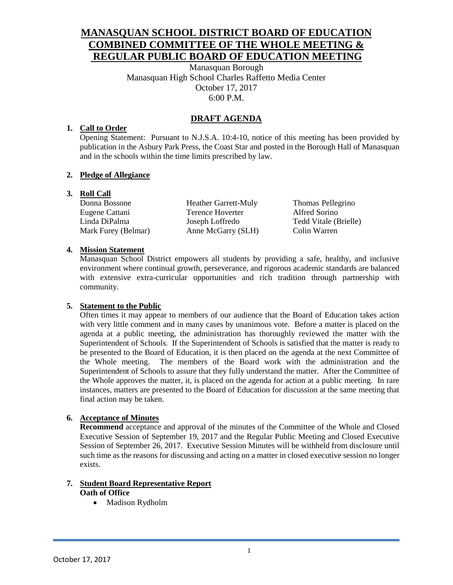# **MANASQUAN SCHOOL DISTRICT BOARD OF EDUCATION COMBINED COMMITTEE OF THE WHOLE MEETING & REGULAR PUBLIC BOARD OF EDUCATION MEETING**

Manasquan Borough Manasquan High School Charles Raffetto Media Center October 17, 2017 6:00 P.M.

# **DRAFT AGENDA**

## **1. Call to Order**

Opening Statement: Pursuant to N.J.S.A. 10:4-10, notice of this meeting has been provided by publication in the Asbury Park Press, the Coast Star and posted in the Borough Hall of Manasquan and in the schools within the time limits prescribed by law.

## **2. Pledge of Allegiance**

## **3. Roll Call**

Mark Furey (Belmar) Anne McGarry (SLH) Colin Warren

Donna Bossone Heather Garrett-Muly Thomas Pellegrino Eugene Cattani Terence Hoverter Alfred Sorino Linda DiPalma Joseph Loffredo Tedd Vitale (Brielle)

## **4. Mission Statement**

Manasquan School District empowers all students by providing a safe, healthy, and inclusive environment where continual growth, perseverance, and rigorous academic standards are balanced with extensive extra-curricular opportunities and rich tradition through partnership with community.

## **5. Statement to the Public**

Often times it may appear to members of our audience that the Board of Education takes action with very little comment and in many cases by unanimous vote. Before a matter is placed on the agenda at a public meeting, the administration has thoroughly reviewed the matter with the Superintendent of Schools. If the Superintendent of Schools is satisfied that the matter is ready to be presented to the Board of Education, it is then placed on the agenda at the next Committee of the Whole meeting. The members of the Board work with the administration and the Superintendent of Schools to assure that they fully understand the matter. After the Committee of the Whole approves the matter, it, is placed on the agenda for action at a public meeting. In rare instances, matters are presented to the Board of Education for discussion at the same meeting that final action may be taken.

## **6. Acceptance of Minutes**

**Recommend** acceptance and approval of the minutes of the Committee of the Whole and Closed Executive Session of September 19, 2017 and the Regular Public Meeting and Closed Executive Session of September 26, 2017. Executive Session Minutes will be withheld from disclosure until such time as the reasons for discussing and acting on a matter in closed executive session no longer exists.

#### **7. Student Board Representative Report Oath of Office**

• Madison Rydholm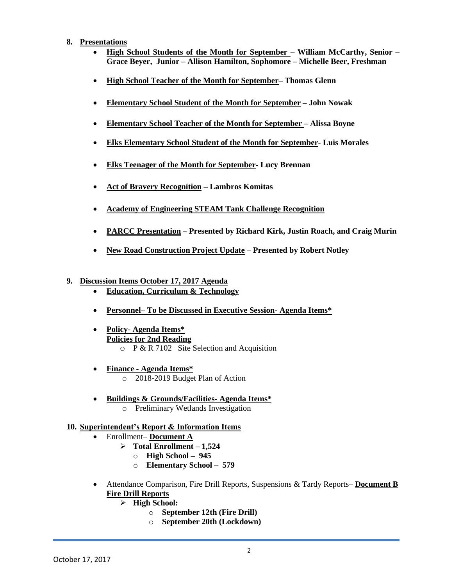#### **8. Presentations**

- **High School Students of the Month for September – William McCarthy, Senior – Grace Beyer, Junior – Allison Hamilton, Sophomore – Michelle Beer, Freshman**
- **High School Teacher of the Month for September– Thomas Glenn**
- **Elementary School Student of the Month for September – John Nowak**
- **Elementary School Teacher of the Month for September – Alissa Boyne**
- **Elks Elementary School Student of the Month for September- Luis Morales**
- **Elks Teenager of the Month for September- Lucy Brennan**
- **Act of Bravery Recognition – Lambros Komitas**
- **Academy of Engineering STEAM Tank Challenge Recognition**
- **PARCC Presentation – Presented by Richard Kirk, Justin Roach, and Craig Murin**
- **New Road Construction Project Update Presented by Robert Notley**
- **9. Discussion Items October 17, 2017 Agenda**
	- **Education, Curriculum & Technology**
	- **Personnel– To be Discussed in Executive Session- Agenda Items\***
	- **Policy- Agenda Items\* Policies for 2nd Reading**   $\circ$  P & R 7102 Site Selection and Acquisition
	- **Finance - Agenda Items\*** o 2018-2019 Budget Plan of Action
	- **Buildings & Grounds/Facilities- Agenda Items\***
		- o Preliminary Wetlands Investigation

#### **10. Superintendent's Report & Information Items**

- Enrollment– **Document A**
	- **Total Enrollment – 1,524**
		- o **High School – 945**
		- o **Elementary School – 579**
- Attendance Comparison, Fire Drill Reports, Suspensions & Tardy Reports– **Document B Fire Drill Reports**
	- **High School:**
		- o **September 12th (Fire Drill)**
		- o **September 20th (Lockdown)**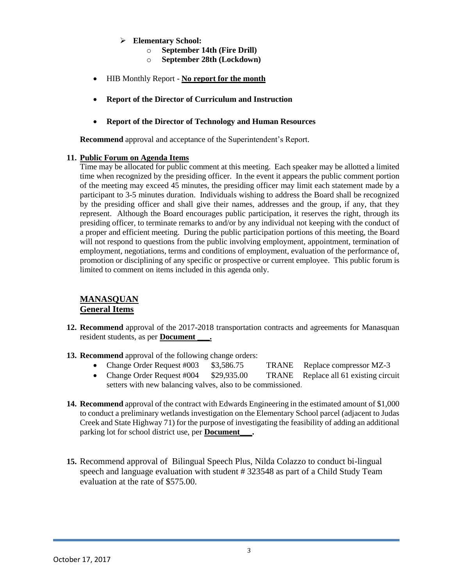- **Elementary School:**
	- o **September 14th (Fire Drill)**
	- o **September 28th (Lockdown)**
- HIB Monthly Report **No report for the month**
- **Report of the Director of Curriculum and Instruction**
- **Report of the Director of Technology and Human Resources**

**Recommend** approval and acceptance of the Superintendent's Report.

#### **11. Public Forum on Agenda Items**

Time may be allocated for public comment at this meeting. Each speaker may be allotted a limited time when recognized by the presiding officer. In the event it appears the public comment portion of the meeting may exceed 45 minutes, the presiding officer may limit each statement made by a participant to 3-5 minutes duration. Individuals wishing to address the Board shall be recognized by the presiding officer and shall give their names, addresses and the group, if any, that they represent. Although the Board encourages public participation, it reserves the right, through its presiding officer, to terminate remarks to and/or by any individual not keeping with the conduct of a proper and efficient meeting. During the public participation portions of this meeting, the Board will not respond to questions from the public involving employment, appointment, termination of employment, negotiations, terms and conditions of employment, evaluation of the performance of, promotion or disciplining of any specific or prospective or current employee. This public forum is limited to comment on items included in this agenda only.

## **MANASQUAN General Items**

- **12. Recommend** approval of the 2017-2018 transportation contracts and agreements for Manasquan resident students, as per **Document \_\_\_.**
- **13. Recommend** approval of the following change orders:
	- Change Order Request #003 \$3,586.75 TRANE Replace compressor MZ-3
	- Change Order Request #004 \$29,935.00 TRANE Replace all 61 existing circuit setters with new balancing valves, also to be commissioned.
- **14. Recommend** approval of the contract with Edwards Engineering in the estimated amount of \$1,000 to conduct a preliminary wetlands investigation on the Elementary School parcel (adjacent to Judas Creek and State Highway 71) for the purpose of investigating the feasibility of adding an additional parking lot for school district use, per **Document\_\_\_.**
- **15.** Recommend approval of Bilingual Speech Plus, Nilda Colazzo to conduct bi-lingual speech and language evaluation with student # 323548 as part of a Child Study Team evaluation at the rate of \$575.00.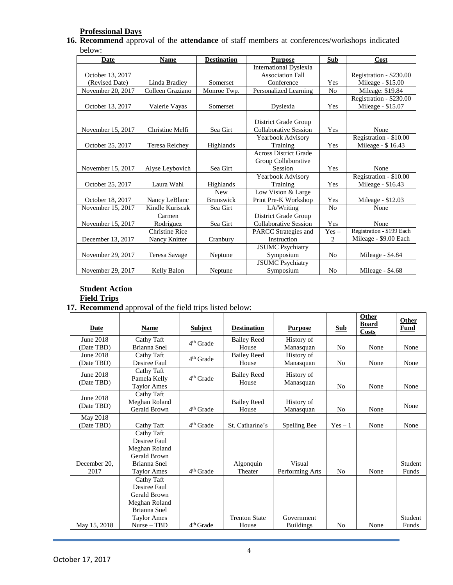# **Professional Days**

**16. Recommend** approval of the **attendance** of staff members at conferences/workshops indicated below:

| Date              | <b>Name</b>           | <b>Destination</b> | <b>Purpose</b>                | Sub            | Cost                      |
|-------------------|-----------------------|--------------------|-------------------------------|----------------|---------------------------|
|                   |                       |                    | <b>International Dyslexia</b> |                |                           |
| October 13, 2017  |                       |                    | <b>Association Fall</b>       |                | Registration - \$230.00   |
| (Revised Date)    | Linda Bradley         | Somerset           | Conference                    | Yes            | Mileage - \$15.00         |
| November 20, 2017 | Colleen Graziano      | Monroe Twp.        | Personalized Learning         | N <sub>o</sub> | Mileage: \$19.84          |
|                   |                       |                    |                               |                | Registration - \$230.00   |
| October 13, 2017  | Valerie Vayas         | Somerset           | Dyslexia                      | Yes            | Mileage - \$15.07         |
|                   |                       |                    |                               |                |                           |
|                   |                       |                    | District Grade Group          |                |                           |
| November 15, 2017 | Christine Melfi       | Sea Girt           | Collaborative Session         | Yes            | None                      |
|                   |                       |                    | Yearbook Advisory             |                | Registration - \$10.00    |
| October 25, 2017  | Teresa Reichev        | Highlands          | Training                      | Yes            | Mileage - \$16.43         |
|                   |                       |                    | <b>Across District Grade</b>  |                |                           |
|                   |                       |                    | Group Collaborative           |                |                           |
| November 15, 2017 | Alyse Leybovich       | Sea Girt           | Session                       | Yes            | None                      |
|                   |                       |                    | Yearbook Advisory             |                | Registration - \$10.00    |
| October 25, 2017  | Laura Wahl            | Highlands          | Training                      | Yes            | Mileage - \$16.43         |
|                   |                       | <b>New</b>         | Low Vision & Large            |                |                           |
| October 18, 2017  | Nancy LeBlanc         | <b>Brunswick</b>   | Print Pre-K Workshop          | Yes            | Mileage - \$12.03         |
| November 15, 2017 | Kindle Kuriscak       | Sea Girt           | LA/Writing                    | N <sub>0</sub> | None                      |
|                   | Carmen                |                    | District Grade Group          |                |                           |
| November 15, 2017 | Rodriguez             | Sea Girt           | Collaborative Session         | Yes            | None                      |
|                   | <b>Christine Rice</b> |                    | PARCC Strategies and          | $Yes -$        | Registration - \$199 Each |
| December 13, 2017 | Nancy Knitter         | Cranbury           | Instruction                   | 2              | Mileage - \$9.00 Each     |
|                   |                       |                    | <b>JSUMC</b> Psychiatry       |                |                           |
| November 29, 2017 | Teresa Savage         | Neptune            | Symposium                     | N <sub>0</sub> | Mileage - \$4.84          |
|                   |                       |                    | <b>JSUMC</b> Psychiatry       |                |                           |
| November 29, 2017 | Kelly Balon           | Neptune            | Symposium                     | N <sub>0</sub> | Mileage - \$4.68          |

# **Student Action**

# **Field Trips**

**17. Recommend** approval of the field trips listed below:

| Date         | <b>Name</b>        | <b>Subject</b>        | <b>Destination</b>   | <b>Purpose</b>   | <b>Sub</b>     | Other<br><b>Board</b><br><b>Costs</b> | Other<br><b>Fund</b> |
|--------------|--------------------|-----------------------|----------------------|------------------|----------------|---------------------------------------|----------------------|
| June 2018    | Cathy Taft         | 4 <sup>th</sup> Grade | <b>Bailey Reed</b>   | History of       |                |                                       |                      |
| (Date TBD)   | Brianna Snel       |                       | House                | Manasquan        | N <sub>0</sub> | None                                  | None                 |
| June 2018    | Cathy Taft         | 4 <sup>th</sup> Grade | <b>Bailey Reed</b>   | History of       |                |                                       |                      |
| (Date TBD)   | Desiree Faul       |                       | House                | Manasquan        | N <sub>0</sub> | None                                  | None                 |
| June 2018    | Cathy Taft         |                       | <b>Bailey Reed</b>   | History of       |                |                                       |                      |
| (Date TBD)   | Pamela Kelly       | $4th$ Grade           | House                | Manasquan        |                |                                       |                      |
|              | <b>Taylor Ames</b> |                       |                      |                  | N <sub>0</sub> | None                                  | None                 |
| June 2018    | Cathy Taft         |                       |                      |                  |                |                                       |                      |
| (Date TBD)   | Meghan Roland      |                       | <b>Bailey Reed</b>   | History of       |                |                                       | None                 |
|              | Gerald Brown       | 4 <sup>th</sup> Grade | House                | Manasquan        | N <sub>0</sub> | None                                  |                      |
| May 2018     |                    |                       |                      |                  |                |                                       |                      |
| (Date TBD)   | Cathy Taft         | 4 <sup>th</sup> Grade | St. Catharine's      | Spelling Bee     | $Yes - 1$      | None                                  | None                 |
|              | Cathy Taft         |                       |                      |                  |                |                                       |                      |
|              | Desiree Faul       |                       |                      |                  |                |                                       |                      |
|              | Meghan Roland      |                       |                      |                  |                |                                       |                      |
|              | Gerald Brown       |                       |                      |                  |                |                                       |                      |
| December 20. | Brianna Snel       |                       | Algonquin            | Visual           |                |                                       | Student              |
| 2017         | <b>Taylor Ames</b> | 4 <sup>th</sup> Grade | Theater              | Performing Arts  | N <sub>0</sub> | None                                  | Funds                |
|              | Cathy Taft         |                       |                      |                  |                |                                       |                      |
|              | Desiree Faul       |                       |                      |                  |                |                                       |                      |
|              | Gerald Brown       |                       |                      |                  |                |                                       |                      |
|              | Meghan Roland      |                       |                      |                  |                |                                       |                      |
|              | Brianna Snel       |                       |                      |                  |                |                                       |                      |
|              | <b>Taylor Ames</b> |                       | <b>Trenton State</b> | Government       |                |                                       | Student              |
| May 15, 2018 | $Nurse - TBD$      | 4 <sup>th</sup> Grade | House                | <b>Buildings</b> | N <sub>0</sub> | None                                  | Funds                |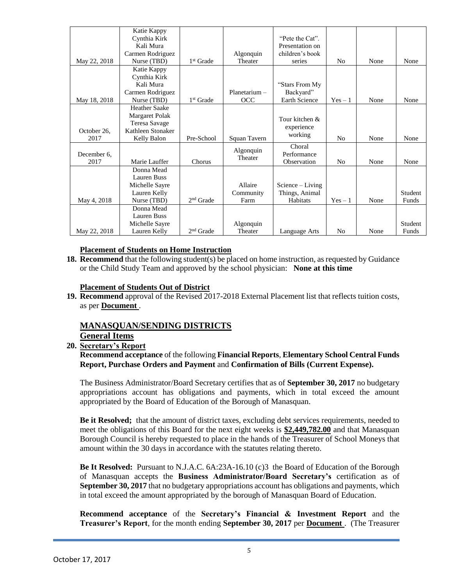|              | Katie Kappy          |                       |                 |                      |                |      |         |
|--------------|----------------------|-----------------------|-----------------|----------------------|----------------|------|---------|
|              | Cynthia Kirk         |                       |                 | "Pete the Cat".      |                |      |         |
|              | Kali Mura            |                       |                 | Presentation on      |                |      |         |
|              | Carmen Rodriguez     |                       | Algonquin       | children's book      |                |      |         |
| May 22, 2018 | Nurse (TBD)          | 1 <sup>st</sup> Grade | Theater         | series               | N <sub>0</sub> | None | None    |
|              | Katie Kappy          |                       |                 |                      |                |      |         |
|              | Cynthia Kirk         |                       |                 |                      |                |      |         |
|              | Kali Mura            |                       |                 | "Stars From My       |                |      |         |
|              | Carmen Rodriguez     |                       | $Planetarium -$ | Backyard"            |                |      |         |
| May 18, 2018 | Nurse (TBD)          | 1 <sup>st</sup> Grade | OCC             | <b>Earth Science</b> | $Yes - 1$      | None | None    |
|              | <b>Heather Saake</b> |                       |                 |                      |                |      |         |
|              | Margaret Polak       |                       |                 | Tour kitchen &       |                |      |         |
|              | Teresa Savage        |                       |                 | experience           |                |      |         |
| October 26.  | Kathleen Stonaker    |                       |                 | working              |                |      |         |
| 2017         | Kelly Balon          | Pre-School            | Squan Tavern    |                      | N <sub>0</sub> | None | None    |
|              |                      |                       | Algonquin       | Choral               |                |      |         |
| December 6.  |                      |                       | Theater         | Performance          |                |      |         |
| 2017         | Marie Lauffer        | Chorus                |                 | Observation          | N <sub>0</sub> | None | None    |
|              | Donna Mead           |                       |                 |                      |                |      |         |
|              | Lauren Buss          |                       |                 |                      |                |      |         |
|              | Michelle Sayre       |                       | Allaire         | $Science - Living$   |                |      |         |
|              | Lauren Kelly         |                       | Community       | Things, Animal       |                |      | Student |
| May 4, 2018  | Nurse (TBD)          | $2nd$ Grade           | Farm            | Habitats             | $Yes - 1$      | None | Funds   |
|              | Donna Mead           |                       |                 |                      |                |      |         |
|              | Lauren Buss          |                       |                 |                      |                |      |         |
|              | Michelle Sayre       |                       | Algonquin       |                      |                |      | Student |
| May 22, 2018 | Lauren Kelly         | $2nd$ Grade           | Theater         | Language Arts        | N <sub>0</sub> | None | Funds   |

#### **Placement of Students on Home Instruction**

**18. Recommend** that the following student(s) be placed on home instruction, as requested by Guidance or the Child Study Team and approved by the school physician: **None at this time**

#### **Placement of Students Out of District**

**19. Recommend** approval of the Revised 2017-2018 External Placement list that reflects tuition costs, as per **Document** .

## **MANASQUAN/SENDING DISTRICTS**

#### **General Items**

**20. Secretary's Report**

**Recommend acceptance** of the following **Financial Reports**, **Elementary School Central Funds Report, Purchase Orders and Payment** and **Confirmation of Bills (Current Expense).**

The Business Administrator/Board Secretary certifies that as of **September 30, 2017** no budgetary appropriations account has obligations and payments, which in total exceed the amount appropriated by the Board of Education of the Borough of Manasquan.

**Be it Resolved;** that the amount of district taxes, excluding debt services requirements, needed to meet the obligations of this Board for the next eight weeks is **\$2,449,782.00** and that Manasquan Borough Council is hereby requested to place in the hands of the Treasurer of School Moneys that amount within the 30 days in accordance with the statutes relating thereto.

**Be It Resolved:** Pursuant to N.J.A.C. 6A:23A-16.10 (c)3 the Board of Education of the Borough of Manasquan accepts the **Business Administrator/Board Secretary's** certification as of **September 30, 2017** that no budgetary appropriations account has obligations and payments, which in total exceed the amount appropriated by the borough of Manasquan Board of Education.

**Recommend acceptance** of the **Secretary's Financial & Investment Report** and the **Treasurer's Report**, for the month ending **September 30, 2017** per **Document** . (The Treasurer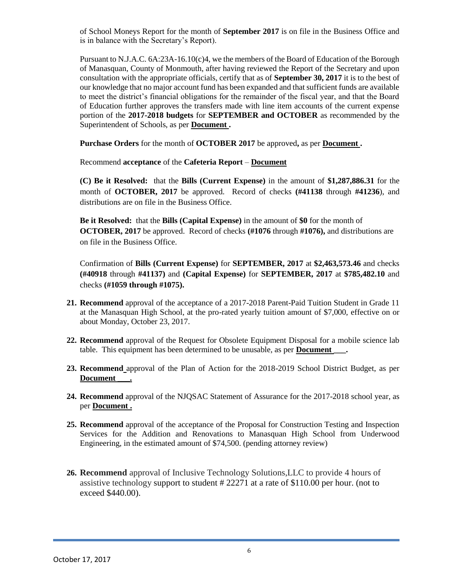of School Moneys Report for the month of **September 2017** is on file in the Business Office and is in balance with the Secretary's Report).

Pursuant to N.J.A.C. 6A:23A-16.10(c)4, we the members of the Board of Education of the Borough of Manasquan, County of Monmouth, after having reviewed the Report of the Secretary and upon consultation with the appropriate officials, certify that as of **September 30, 2017** it is to the best of our knowledge that no major account fund has been expanded and that sufficient funds are available to meet the district's financial obligations for the remainder of the fiscal year, and that the Board of Education further approves the transfers made with line item accounts of the current expense portion of the **2017-2018 budgets** for **SEPTEMBER and OCTOBER** as recommended by the Superintendent of Schools, as per **Document .**

**Purchase Orders** for the month of **OCTOBER 2017** be approved**,** as per **Document .**

Recommend **acceptance** of the **Cafeteria Report** – **Document**

**(C) Be it Resolved:** that the **Bills (Current Expense)** in the amount of **\$1,287,886.31** for the month of **OCTOBER, 2017** be approved. Record of checks **(#41138** through **#41236**), and distributions are on file in the Business Office.

**Be it Resolved:** that the **Bills (Capital Expense)** in the amount of **\$0** for the month of **OCTOBER, 2017** be approved. Record of checks **(#1076** through **#1076),** and distributions are on file in the Business Office.

Confirmation of **Bills (Current Expense)** for **SEPTEMBER, 2017** at **\$2,463,573.46** and checks **(#40918** through **#41137)** and **(Capital Expense)** for **SEPTEMBER, 2017** at **\$785,482.10** and checks **(#1059 through #1075).**

- **21. Recommend** approval of the acceptance of a 2017-2018 Parent-Paid Tuition Student in Grade 11 at the Manasquan High School, at the pro-rated yearly tuition amount of \$7,000, effective on or about Monday, October 23, 2017.
- **22. Recommend** approval of the Request for Obsolete Equipment Disposal for a mobile science lab table. This equipment has been determined to be unusable, as per **Document \_\_\_.**
- **23. Recommend** approval of the Plan of Action for the 2018-2019 School District Budget, as per Document .
- **24. Recommend** approval of the NJQSAC Statement of Assurance for the 2017-2018 school year, as per **Document .**
- **25. Recommend** approval of the acceptance of the Proposal for Construction Testing and Inspection Services for the Addition and Renovations to Manasquan High School from Underwood Engineering, in the estimated amount of \$74,500. (pending attorney review)
- **26. Recommend** approval of Inclusive Technology Solutions,LLC to provide 4 hours of assistive technology support to student # 22271 at a rate of \$110.00 per hour. (not to exceed \$440.00).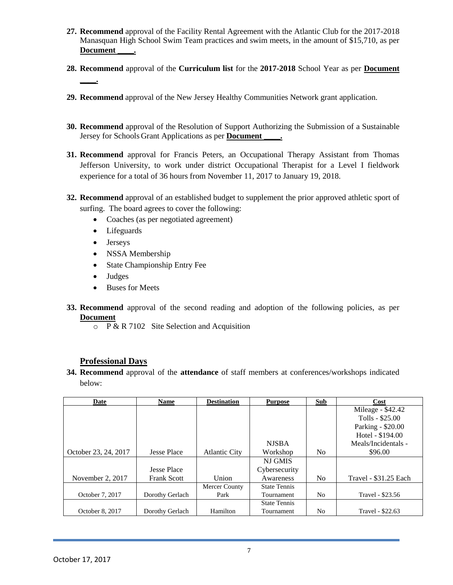- **27. Recommend** approval of the Facility Rental Agreement with the Atlantic Club for the 2017-2018 Manasquan High School Swim Team practices and swim meets, in the amount of \$15,710, as per Document .
- **28. Recommend** approval of the **Curriculum list** for the **2017-2018** School Year as per **Document \_\_\_\_.**
- **29. Recommend** approval of the New Jersey Healthy Communities Network grant application.
- **30. Recommend** approval of the Resolution of Support Authorizing the Submission of a Sustainable Jersey for Schools Grant Applications as per **Document \_\_\_\_.**
- **31. Recommend** approval for Francis Peters, an Occupational Therapy Assistant from Thomas Jefferson University, to work under district Occupational Therapist for a Level I fieldwork experience for a total of 36 hours from November 11, 2017 to January 19, 2018.
- **32. Recommend** approval of an established budget to supplement the prior approved athletic sport of surfing. The board agrees to cover the following:
	- Coaches (as per negotiated agreement)
	- Lifeguards
	- Jerseys
	- NSSA Membership
	- State Championship Entry Fee
	- Judges
	- Buses for Meets
- **33. Recommend** approval of the second reading and adoption of the following policies, as per **Document**
	- $\circ$  P & R 7102 Site Selection and Acquisition

# **Professional Days**

**34. Recommend** approval of the **attendance** of staff members at conferences/workshops indicated below:

| Date                 | <b>Name</b>        | <b>Destination</b>   | <b>Purpose</b>      | <b>Sub</b>     | Cost                  |
|----------------------|--------------------|----------------------|---------------------|----------------|-----------------------|
|                      |                    |                      |                     |                | Mileage - \$42.42     |
|                      |                    |                      |                     |                | Tolls - \$25.00       |
|                      |                    |                      |                     |                | Parking - \$20.00     |
|                      |                    |                      |                     |                | Hotel - \$194.00      |
|                      |                    |                      | <b>NJSBA</b>        |                | Meals/Incidentals -   |
| October 23, 24, 2017 | <b>Jesse Place</b> | <b>Atlantic City</b> | Workshop            | N <sub>0</sub> | \$96.00               |
|                      |                    |                      | <b>NJ GMIS</b>      |                |                       |
|                      | <b>Jesse Place</b> |                      | Cybersecurity       |                |                       |
| November 2, 2017     | <b>Frank Scott</b> | Union                | Awareness           | N <sub>0</sub> | Travel - \$31.25 Each |
|                      |                    | Mercer County        | <b>State Tennis</b> |                |                       |
| October 7, 2017      | Dorothy Gerlach    | Park                 | Tournament          | N <sub>0</sub> | Travel - \$23.56      |
|                      |                    |                      | <b>State Tennis</b> |                |                       |
| October 8, 2017      | Dorothy Gerlach    | Hamilton             | Tournament          | No             | Travel - \$22.63      |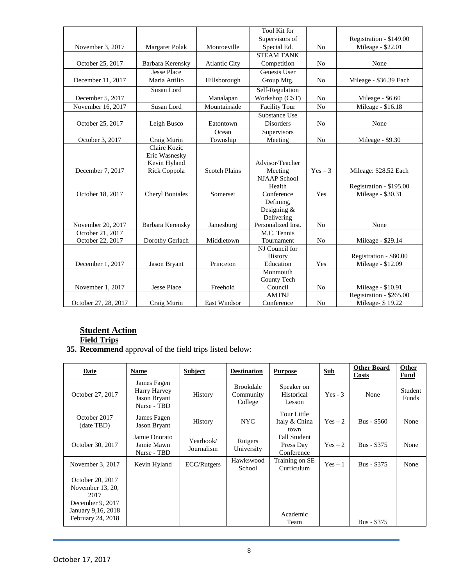|                      |                        |                      | <b>Tool Kit for</b>    |                |                         |
|----------------------|------------------------|----------------------|------------------------|----------------|-------------------------|
|                      |                        |                      | Supervisors of         |                | Registration - \$149.00 |
| November 3, 2017     | Margaret Polak         | Monroeville          | Special Ed.            | N <sub>0</sub> | Mileage - \$22.01       |
|                      |                        |                      | <b>STEAM TANK</b>      |                |                         |
| October 25, 2017     | Barbara Kerensky       | <b>Atlantic City</b> | Competition            | N <sub>o</sub> | None                    |
|                      | <b>Jesse Place</b>     |                      | Genesis User           |                |                         |
| December 11, 2017    | Maria Attilio          | Hillsborough         | Group Mtg.             | N <sub>0</sub> | Mileage - \$36.39 Each  |
|                      | Susan Lord             |                      | Self-Regulation        |                |                         |
| December 5, 2017     |                        | Manalapan            | Workshop (CST)         | N <sub>0</sub> | Mileage - \$6.60        |
| November 16, 2017    | Susan Lord             | Mountainside         | <b>Facility Tour</b>   | N <sub>o</sub> | Mileage - \$16.18       |
|                      |                        |                      | Substance Use          |                |                         |
| October 25, 2017     | Leigh Busco            | Eatontown            | <b>Disorders</b>       | N <sub>o</sub> | None                    |
|                      |                        | Ocean                | Supervisors            |                |                         |
| October 3, 2017      | Craig Murin            | Township             | Meeting                | N <sub>0</sub> | Mileage - \$9.30        |
|                      | Claire Kozic           |                      |                        |                |                         |
|                      | Eric Wasnesky          |                      |                        |                |                         |
|                      | Kevin Hyland           |                      | Advisor/Teacher        |                |                         |
| December 7, 2017     | Rick Coppola           | <b>Scotch Plains</b> | Meeting                | $Yes - 3$      | Mileage: \$28.52 Each   |
|                      |                        |                      | <b>NJAAP</b> School    |                |                         |
|                      |                        |                      | Health                 |                | Registration - \$195.00 |
| October 18, 2017     | <b>Cheryl Bontales</b> | Somerset             | Conference             | Yes            | Mileage - \$30.31       |
|                      |                        |                      | Defining.              |                |                         |
|                      |                        |                      | Designing $&$          |                |                         |
|                      |                        |                      | Delivering             |                |                         |
| November 20, 2017    | Barbara Kerensky       | Jamesburg            | Personalized Inst.     | N <sub>0</sub> | None                    |
| October 21, 2017     |                        |                      | M.C. Tennis            |                |                         |
| October 22, 2017     | Dorothy Gerlach        | Middletown           | Tournament             | N <sub>0</sub> | Mileage - \$29.14       |
|                      |                        |                      | NJ Council for         |                |                         |
|                      |                        |                      | History                |                | Registration - \$80.00  |
| December 1, 2017     | Jason Bryant           | Princeton            | Education<br>Monmouth  | Yes            | Mileage - \$12.09       |
|                      |                        |                      |                        |                |                         |
| November 1, 2017     | <b>Jesse Place</b>     | Freehold             | County Tech<br>Council | N <sub>0</sub> | Mileage - \$10.91       |
|                      |                        |                      | <b>AMTNJ</b>           |                | Registration - \$265.00 |
| October 27, 28, 2017 | Craig Murin            | East Windsor         | Conference             | N <sub>0</sub> | Mileage- \$19.22        |
|                      |                        |                      |                        |                |                         |

# **Student Action**

## **Field Trips**

**35. Recommend** approval of the field trips listed below:

| Date                                                                                                        | <b>Name</b>                                                | <b>Subject</b>          | <b>Destination</b>                       | <b>Purpose</b>                                 | <b>Sub</b> | <b>Other Board</b><br><b>Costs</b> | <b>Other</b><br>Fund |
|-------------------------------------------------------------------------------------------------------------|------------------------------------------------------------|-------------------------|------------------------------------------|------------------------------------------------|------------|------------------------------------|----------------------|
| October 27, 2017                                                                                            | James Fagen<br>Harry Harvey<br>Jason Bryant<br>Nurse - TBD | History                 | <b>Brookdale</b><br>Community<br>College | Speaker on<br>Historical<br>Lesson             | $Yes - 3$  | None                               | Student<br>Funds     |
| October 2017<br>(date TBD)                                                                                  | James Fagen<br><b>Jason Bryant</b>                         | History                 | <b>NYC</b>                               | Tour Little<br>Italy & China<br>town           | $Yes-2$    | Bus - \$560                        | None                 |
| October 30, 2017                                                                                            | Jamie Onorato<br>Jamie Mawn<br>Nurse - TBD                 | Yearbook/<br>Journalism | Rutgers<br>University                    | <b>Fall Student</b><br>Press Day<br>Conference | $Yes-2$    | Bus - \$375                        | None                 |
| November 3, 2017                                                                                            | Kevin Hyland                                               | ECC/Rutgers             | Hawkswood<br>School                      | Training on SE<br>Curriculum                   | $Yes - 1$  | Bus - \$375                        | None                 |
| October 20, 2017<br>November 13, 20,<br>2017<br>December 9, 2017<br>January 9,16, 2018<br>February 24, 2018 |                                                            |                         |                                          | Academic<br>Team                               |            | Bus - \$375                        |                      |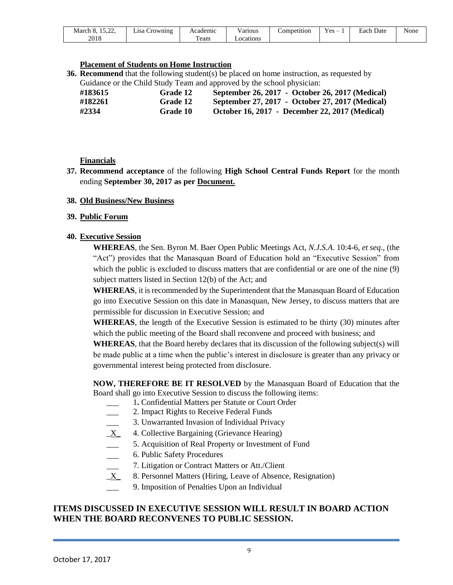| $1 - 22$<br>. .<br>March<br>. | ∟ısa<br>Crowning | Academic | / arious | Competition | $\mathbf{r}$<br>$Yes -$ | $\sqrt{ }$<br>Date<br>Each | None |
|-------------------------------|------------------|----------|----------|-------------|-------------------------|----------------------------|------|
| 2018                          |                  | eam      | ocations |             |                         |                            |      |

#### **Placement of Students on Home Instruction**

**36. Recommend** that the following student(s) be placed on home instruction, as requested by Guidance or the Child Study Team and approved by the school physician:

| #183615 | Grade 12 | September 26, 2017 - October 26, 2017 (Medical) |
|---------|----------|-------------------------------------------------|
| #182261 | Grade 12 | September 27, 2017 - October 27, 2017 (Medical) |
| #2334   | Grade 10 | October 16, 2017 - December 22, 2017 (Medical)  |

## **Financials**

**37. Recommend acceptance** of the following **High School Central Funds Report** for the month ending **September 30, 2017 as per Document.**

#### **38. Old Business/New Business**

#### **39. Public Forum**

#### **40. Executive Session**

**WHEREAS**, the Sen. Byron M. Baer Open Public Meetings Act, *N.J.S.A*. 10:4-6, *et seq*., (the "Act") provides that the Manasquan Board of Education hold an "Executive Session" from which the public is excluded to discuss matters that are confidential or are one of the nine (9) subject matters listed in Section 12(b) of the Act; and

**WHEREAS**, it is recommended by the Superintendent that the Manasquan Board of Education go into Executive Session on this date in Manasquan, New Jersey, to discuss matters that are permissible for discussion in Executive Session; and

**WHEREAS**, the length of the Executive Session is estimated to be thirty (30) minutes after which the public meeting of the Board shall reconvene and proceed with business; and

**WHEREAS**, that the Board hereby declares that its discussion of the following subject(s) will be made public at a time when the public's interest in disclosure is greater than any privacy or governmental interest being protected from disclosure.

**NOW, THEREFORE BE IT RESOLVED** by the Manasquan Board of Education that the Board shall go into Executive Session to discuss the following items:

- \_\_\_ 1**.** Confidential Matters per Statute or Court Order
- \_\_\_ 2. Impact Rights to Receive Federal Funds
- 3. Unwarranted Invasion of Individual Privacy
- $X$  4. Collective Bargaining (Grievance Hearing)
- \_\_\_ 5. Acquisition of Real Property or Investment of Fund
- 6. Public Safety Procedures<br>
7. Litigation or Contract Ma
- 7. Litigation or Contract Matters or Att./Client
- $X$  8. Personnel Matters (Hiring, Leave of Absence, Resignation)
- 9. Imposition of Penalties Upon an Individual

## **ITEMS DISCUSSED IN EXECUTIVE SESSION WILL RESULT IN BOARD ACTION WHEN THE BOARD RECONVENES TO PUBLIC SESSION.**